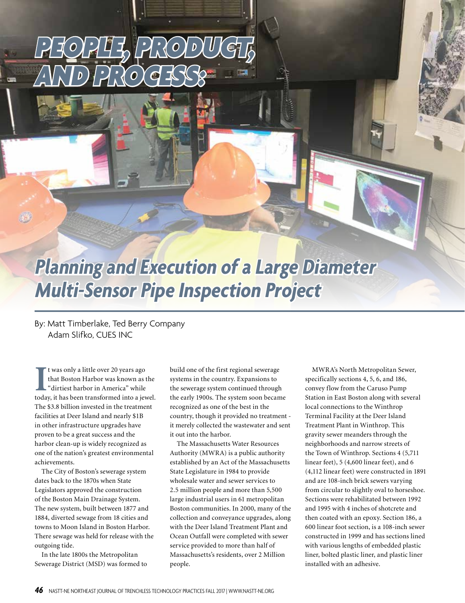## PEOPLE, PRODUCT, AND PROCESS:

## **Planning and Execution of a Large Diameter Multi-Sensor Pipe Inspection Project**

By: Matt Timberlake, Ted Berry Company Adam Slifko, CUES INC

It was only a little over 20 years ago<br>
that Boston Harbor was known as the<br>
"dirtiest harbor in America" while<br>
today, it has been transformed into a jewel. t was only a little over 20 years ago that Boston Harbor was known as the "dirtiest harbor in America" while The \$3.8 billion invested in the treatment facilities at Deer Island and nearly \$1B in other infrastructure upgrades have proven to be a great success and the harbor clean-up is widely recognized as one of the nation's greatest environmental achievements.

The City of Boston's sewerage system dates back to the 1870s when State Legislators approved the construction of the Boston Main Drainage System. The new system, built between 1877 and 1884, diverted sewage from 18 cities and towns to Moon Island in Boston Harbor. There sewage was held for release with the outgoing tide.

In the late 1800s the Metropolitan Sewerage District (MSD) was formed to build one of the first regional sewerage systems in the country. Expansions to the sewerage system continued through the early 1900s. The system soon became recognized as one of the best in the country, though it provided no treatment it merely collected the wastewater and sent it out into the harbor.

The Massachusetts Water Resources Authority (MWRA) is a public authority established by an Act of the Massachusetts State Legislature in 1984 to provide wholesale water and sewer services to 2.5 million people and more than 5,500 large industrial users in 61 metropolitan Boston communities. In 2000, many of the collection and conveyance upgrades, along with the Deer Island Treatment Plant and Ocean Outfall were completed with sewer service provided to more than half of Massachusetts's residents, over 2 Million people.

MWRA's North Metropolitan Sewer, specifically sections 4, 5, 6, and 186, convey flow from the Caruso Pump Station in East Boston along with several local connections to the Winthrop Terminal Facility at the Deer Island Treatment Plant in Winthrop. This gravity sewer meanders through the neighborhoods and narrow streets of the Town of Winthrop. Sections 4 (5,711 linear feet), 5 (4,600 linear feet), and 6 (4,112 linear feet) were constructed in 1891 and are 108-inch brick sewers varying from circular to slightly oval to horseshoe. Sections were rehabilitated between 1992 and 1995 with 4 inches of shotcrete and then coated with an epoxy. Section 186, a 600 linear foot section, is a 108-inch sewer constructed in 1999 and has sections lined with various lengths of embedded plastic liner, bolted plastic liner, and plastic liner installed with an adhesive.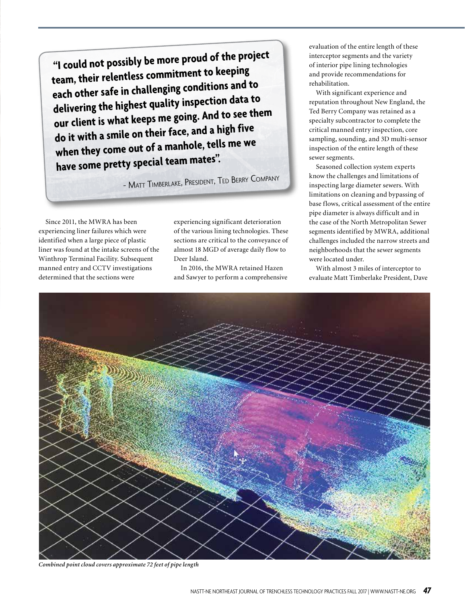**"I could not possibly be more proud of the project team, their relentless commitment to keeping each other safe in challenging conditions and to delivering the highest quality inspection data to our client is what keeps me going. And to see them do it with a smile on their face, and a high five when they come out of a manhole, tells me we have some pretty special team mates".** 

- Matt <sup>T</sup>imberlake, President, Ted <sup>B</sup>erry <sup>C</sup>ompany

Since 2011, the MWRA has been experiencing liner failures which were identified when a large piece of plastic liner was found at the intake screens of the Winthrop Terminal Facility. Subsequent manned entry and CCTV investigations determined that the sections were

experiencing significant deterioration of the various lining technologies. These sections are critical to the conveyance of almost 18 MGD of average daily flow to Deer Island.

In 2016, the MWRA retained Hazen and Sawyer to perform a comprehensive evaluation of the entire length of these interceptor segments and the variety of interior pipe lining technologies and provide recommendations for rehabilitation.

With significant experience and reputation throughout New England, the Ted Berry Company was retained as a specialty subcontractor to complete the critical manned entry inspection, core sampling, sounding, and 3D multi-sensor inspection of the entire length of these sewer segments.

Seasoned collection system experts know the challenges and limitations of inspecting large diameter sewers. With limitations on cleaning and bypassing of base flows, critical assessment of the entire pipe diameter is always difficult and in the case of the North Metropolitan Sewer segments identified by MWRA, additional challenges included the narrow streets and neighborhoods that the sewer segments were located under.

With almost 3 miles of interceptor to evaluate Matt Timberlake President, Dave



*Combined point cloud covers approximate 72 feet of pipe length*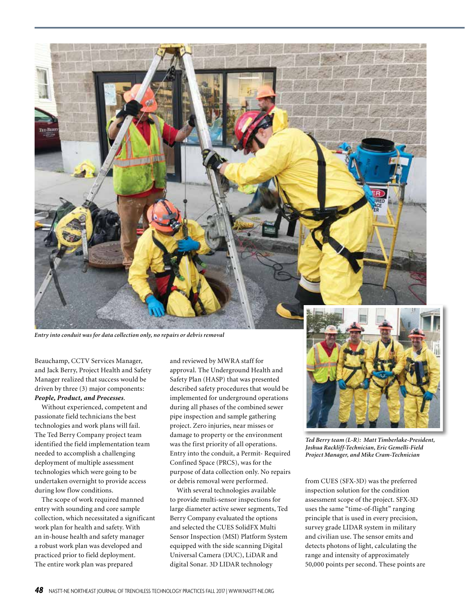

*Entry into conduit was for data collection only, no repairs or debris removal* 

Beauchamp, CCTV Services Manager, and Jack Berry, Project Health and Safety Manager realized that success would be driven by three (3) major components: *People, Product, and Processes*.

Without experienced, competent and passionate field technicians the best technologies and work plans will fail. The Ted Berry Company project team identified the field implementation team needed to accomplish a challenging deployment of multiple assessment technologies which were going to be undertaken overnight to provide access during low flow conditions.

The scope of work required manned entry with sounding and core sample collection, which necessitated a significant work plan for health and safety. With an in-house health and safety manager a robust work plan was developed and practiced prior to field deployment. The entire work plan was prepared

and reviewed by MWRA staff for approval. The Underground Health and Safety Plan (HASP) that was presented described safety procedures that would be implemented for underground operations during all phases of the combined sewer pipe inspection and sample gathering project. Zero injuries, near misses or damage to property or the environment was the first priority of all operations. Entry into the conduit, a Permit- Required Confined Space (PRCS), was for the purpose of data collection only. No repairs or debris removal were performed.

With several technologies available to provide multi-sensor inspections for large diameter active sewer segments, Ted Berry Company evaluated the options and selected the CUES SolidFX Multi Sensor Inspection (MSI) Platform System equipped with the side scanning Digital Universal Camera (DUC), LiDAR and digital Sonar. 3D LIDAR technology



*Ted Berry team (L-R): Matt Timberlake-President, Joshua Rackliff-Technician, Eric Gemelli-Field Project Manager, and Mike Cram-Technician*

from CUES (SFX-3D) was the preferred inspection solution for the condition assessment scope of the project. SFX-3D uses the same "time-of-flight" ranging principle that is used in every precision, survey grade LIDAR system in military and civilian use. The sensor emits and detects photons of light, calculating the range and intensity of approximately 50,000 points per second. These points are